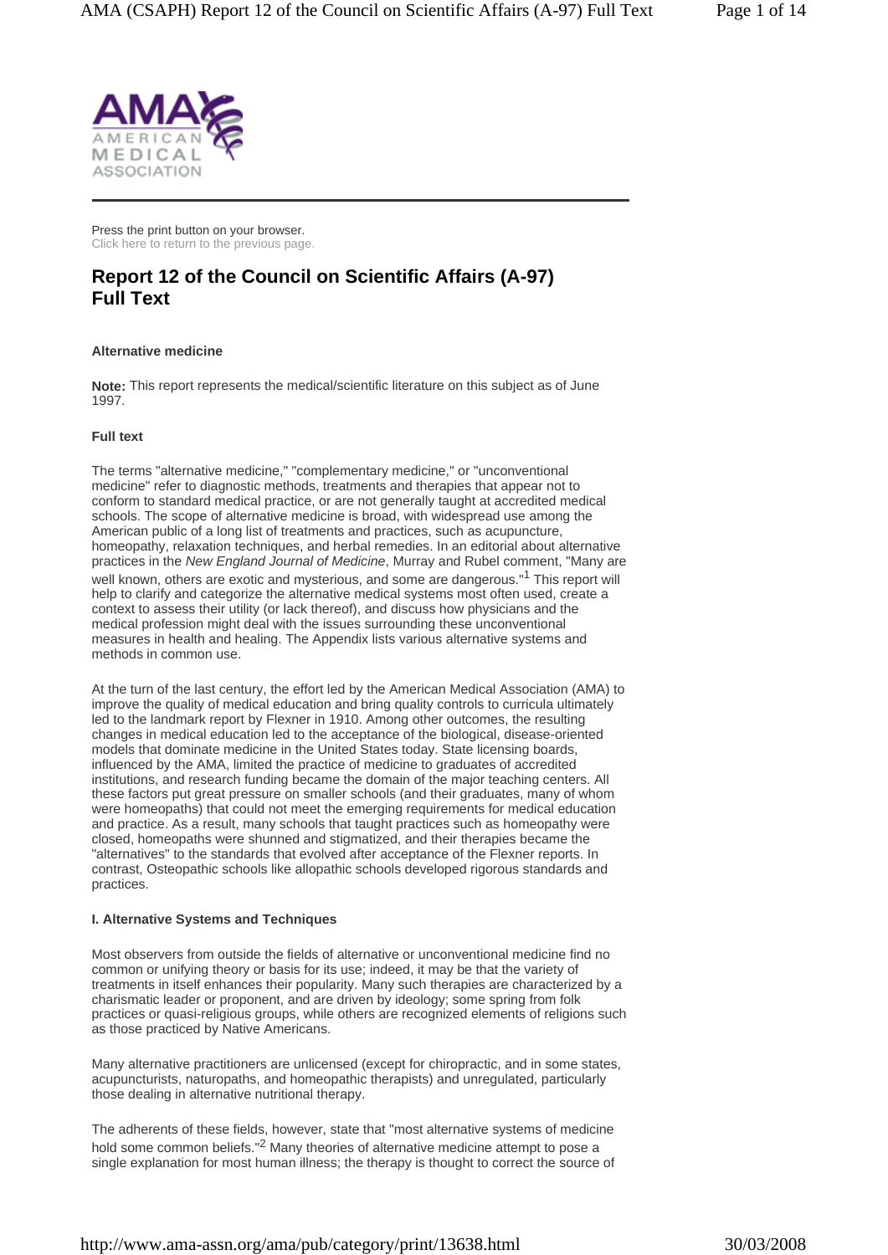

Press the print button on your browser. Click here to return to the previous page.

# **Report 12 of the Council on Scientific Affairs (A-97) Full Text**

# **Alternative medicine**

**Note:** This report represents the medical/scientific literature on this subject as of June 1997.

# **Full text**

The terms "alternative medicine," "complementary medicine," or "unconventional medicine" refer to diagnostic methods, treatments and therapies that appear not to conform to standard medical practice, or are not generally taught at accredited medical schools. The scope of alternative medicine is broad, with widespread use among the American public of a long list of treatments and practices, such as acupuncture, homeopathy, relaxation techniques, and herbal remedies. In an editorial about alternative practices in the *New England Journal of Medicine*, Murray and Rubel comment, "Many are

well known, others are exotic and mysterious, and some are dangerous."<sup>1</sup> This report will help to clarify and categorize the alternative medical systems most often used, create a context to assess their utility (or lack thereof), and discuss how physicians and the medical profession might deal with the issues surrounding these unconventional measures in health and healing. The Appendix lists various alternative systems and methods in common use.

At the turn of the last century, the effort led by the American Medical Association (AMA) to improve the quality of medical education and bring quality controls to curricula ultimately led to the landmark report by Flexner in 1910. Among other outcomes, the resulting changes in medical education led to the acceptance of the biological, disease-oriented models that dominate medicine in the United States today. State licensing boards, influenced by the AMA, limited the practice of medicine to graduates of accredited institutions, and research funding became the domain of the major teaching centers. All these factors put great pressure on smaller schools (and their graduates, many of whom were homeopaths) that could not meet the emerging requirements for medical education and practice. As a result, many schools that taught practices such as homeopathy were closed, homeopaths were shunned and stigmatized, and their therapies became the "alternatives" to the standards that evolved after acceptance of the Flexner reports. In contrast, Osteopathic schools like allopathic schools developed rigorous standards and practices.

# **I. Alternative Systems and Techniques**

Most observers from outside the fields of alternative or unconventional medicine find no common or unifying theory or basis for its use; indeed, it may be that the variety of treatments in itself enhances their popularity. Many such therapies are characterized by a charismatic leader or proponent, and are driven by ideology; some spring from folk practices or quasi-religious groups, while others are recognized elements of religions such as those practiced by Native Americans.

Many alternative practitioners are unlicensed (except for chiropractic, and in some states, acupuncturists, naturopaths, and homeopathic therapists) and unregulated, particularly those dealing in alternative nutritional therapy.

The adherents of these fields, however, state that "most alternative systems of medicine hold some common beliefs."<sup>2</sup> Many theories of alternative medicine attempt to pose a single explanation for most human illness; the therapy is thought to correct the source of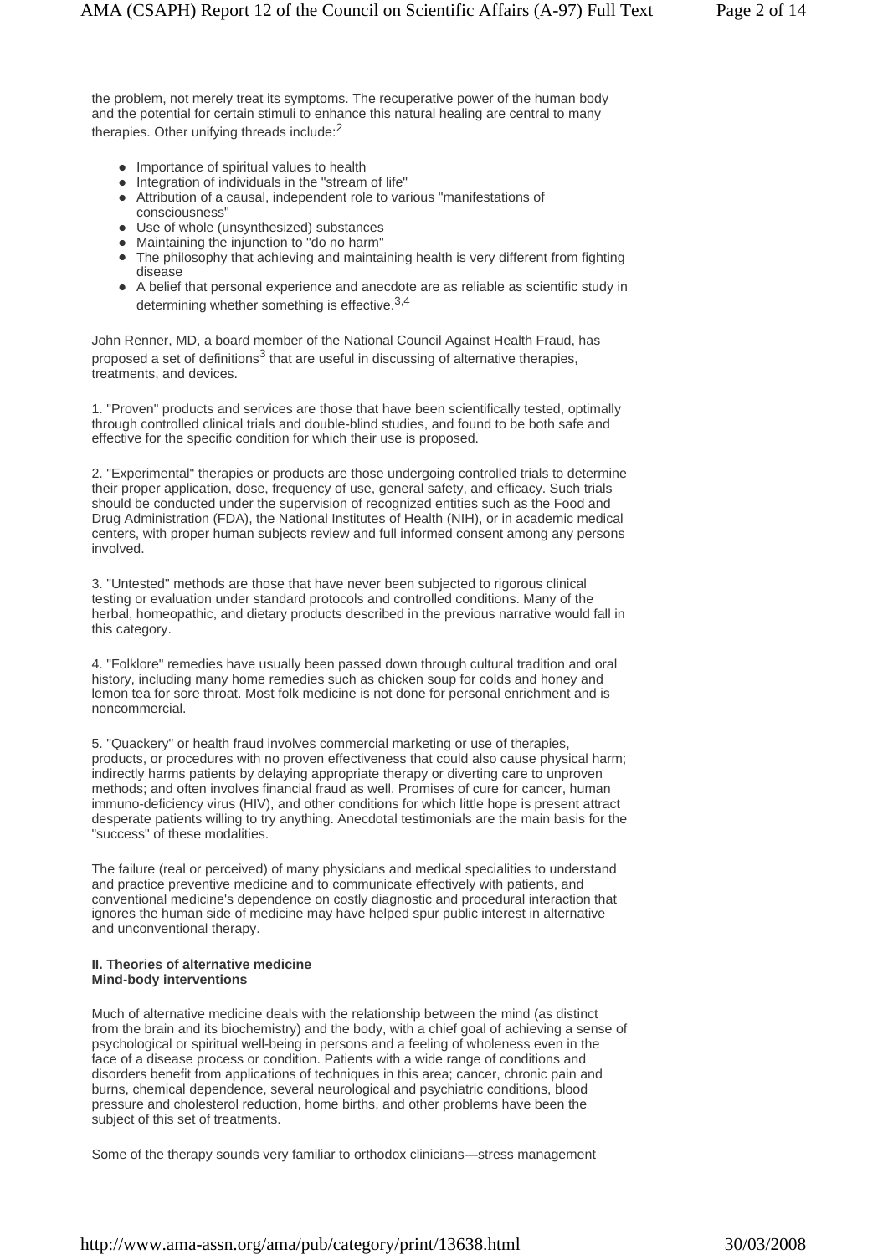the problem, not merely treat its symptoms. The recuperative power of the human body and the potential for certain stimuli to enhance this natural healing are central to many therapies. Other unifying threads include:<sup>2</sup>

- Importance of spiritual values to health
- Integration of individuals in the "stream of life"
- Attribution of a causal, independent role to various "manifestations of consciousness"
- Use of whole (unsynthesized) substances
- Maintaining the injunction to "do no harm"
- The philosophy that achieving and maintaining health is very different from fighting disease
- A belief that personal experience and anecdote are as reliable as scientific study in determining whether something is effective.  $3,4$

John Renner, MD, a board member of the National Council Against Health Fraud, has proposed a set of definitions<sup>3</sup> that are useful in discussing of alternative therapies, treatments, and devices.

1. "Proven" products and services are those that have been scientifically tested, optimally through controlled clinical trials and double-blind studies, and found to be both safe and effective for the specific condition for which their use is proposed.

2. "Experimental" therapies or products are those undergoing controlled trials to determine their proper application, dose, frequency of use, general safety, and efficacy. Such trials should be conducted under the supervision of recognized entities such as the Food and Drug Administration (FDA), the National Institutes of Health (NIH), or in academic medical centers, with proper human subjects review and full informed consent among any persons involved.

3. "Untested" methods are those that have never been subjected to rigorous clinical testing or evaluation under standard protocols and controlled conditions. Many of the herbal, homeopathic, and dietary products described in the previous narrative would fall in this category.

4. "Folklore" remedies have usually been passed down through cultural tradition and oral history, including many home remedies such as chicken soup for colds and honey and lemon tea for sore throat. Most folk medicine is not done for personal enrichment and is noncommercial.

5. "Quackery" or health fraud involves commercial marketing or use of therapies, products, or procedures with no proven effectiveness that could also cause physical harm; indirectly harms patients by delaying appropriate therapy or diverting care to unproven methods; and often involves financial fraud as well. Promises of cure for cancer, human immuno-deficiency virus (HIV), and other conditions for which little hope is present attract desperate patients willing to try anything. Anecdotal testimonials are the main basis for the "success" of these modalities.

The failure (real or perceived) of many physicians and medical specialities to understand and practice preventive medicine and to communicate effectively with patients, and conventional medicine's dependence on costly diagnostic and procedural interaction that ignores the human side of medicine may have helped spur public interest in alternative and unconventional therapy.

# **II. Theories of alternative medicine Mind-body interventions**

Much of alternative medicine deals with the relationship between the mind (as distinct from the brain and its biochemistry) and the body, with a chief goal of achieving a sense of psychological or spiritual well-being in persons and a feeling of wholeness even in the face of a disease process or condition. Patients with a wide range of conditions and disorders benefit from applications of techniques in this area; cancer, chronic pain and burns, chemical dependence, several neurological and psychiatric conditions, blood pressure and cholesterol reduction, home births, and other problems have been the subject of this set of treatments.

Some of the therapy sounds very familiar to orthodox clinicians—stress management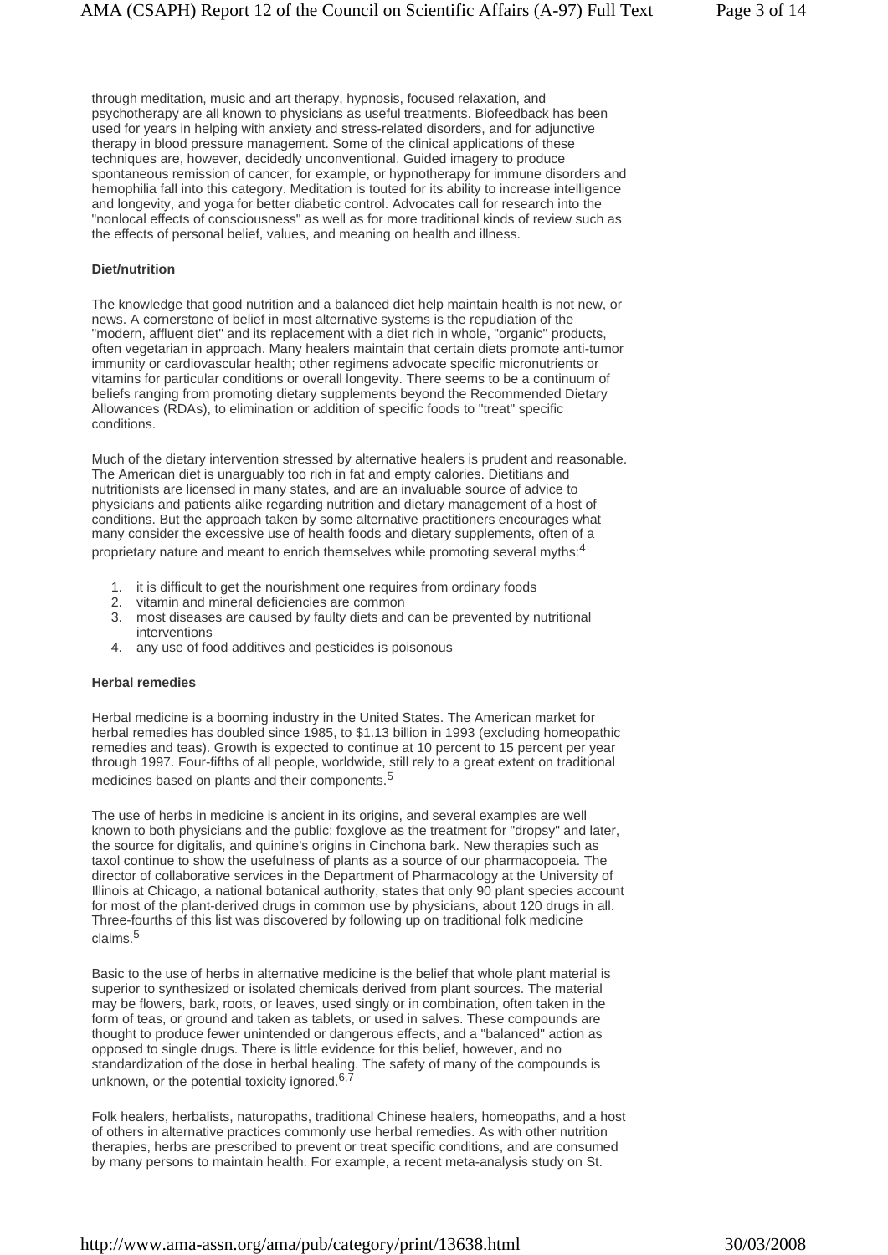through meditation, music and art therapy, hypnosis, focused relaxation, and psychotherapy are all known to physicians as useful treatments. Biofeedback has been used for years in helping with anxiety and stress-related disorders, and for adjunctive therapy in blood pressure management. Some of the clinical applications of these techniques are, however, decidedly unconventional. Guided imagery to produce spontaneous remission of cancer, for example, or hypnotherapy for immune disorders and hemophilia fall into this category. Meditation is touted for its ability to increase intelligence and longevity, and yoga for better diabetic control. Advocates call for research into the "nonlocal effects of consciousness" as well as for more traditional kinds of review such as the effects of personal belief, values, and meaning on health and illness.

# **Diet/nutrition**

The knowledge that good nutrition and a balanced diet help maintain health is not new, or news. A cornerstone of belief in most alternative systems is the repudiation of the "modern, affluent diet" and its replacement with a diet rich in whole, "organic" products, often vegetarian in approach. Many healers maintain that certain diets promote anti-tumor immunity or cardiovascular health; other regimens advocate specific micronutrients or vitamins for particular conditions or overall longevity. There seems to be a continuum of beliefs ranging from promoting dietary supplements beyond the Recommended Dietary Allowances (RDAs), to elimination or addition of specific foods to "treat" specific conditions.

Much of the dietary intervention stressed by alternative healers is prudent and reasonable. The American diet is unarguably too rich in fat and empty calories. Dietitians and nutritionists are licensed in many states, and are an invaluable source of advice to physicians and patients alike regarding nutrition and dietary management of a host of conditions. But the approach taken by some alternative practitioners encourages what many consider the excessive use of health foods and dietary supplements, often of a proprietary nature and meant to enrich themselves while promoting several myths:<sup>4</sup>

- 1. it is difficult to get the nourishment one requires from ordinary foods
- 2. vitamin and mineral deficiencies are common
- 3. most diseases are caused by faulty diets and can be prevented by nutritional interventions
- 4. any use of food additives and pesticides is poisonous

# **Herbal remedies**

Herbal medicine is a booming industry in the United States. The American market for herbal remedies has doubled since 1985, to \$1.13 billion in 1993 (excluding homeopathic remedies and teas). Growth is expected to continue at 10 percent to 15 percent per year through 1997. Four-fifths of all people, worldwide, still rely to a great extent on traditional medicines based on plants and their components.<sup>5</sup>

The use of herbs in medicine is ancient in its origins, and several examples are well known to both physicians and the public: foxglove as the treatment for "dropsy" and later, the source for digitalis, and quinine's origins in Cinchona bark. New therapies such as taxol continue to show the usefulness of plants as a source of our pharmacopoeia. The director of collaborative services in the Department of Pharmacology at the University of Illinois at Chicago, a national botanical authority, states that only 90 plant species account for most of the plant-derived drugs in common use by physicians, about 120 drugs in all. Three-fourths of this list was discovered by following up on traditional folk medicine claims.<sup>5</sup>

Basic to the use of herbs in alternative medicine is the belief that whole plant material is superior to synthesized or isolated chemicals derived from plant sources. The material may be flowers, bark, roots, or leaves, used singly or in combination, often taken in the form of teas, or ground and taken as tablets, or used in salves. These compounds are thought to produce fewer unintended or dangerous effects, and a "balanced" action as opposed to single drugs. There is little evidence for this belief, however, and no standardization of the dose in herbal healing. The safety of many of the compounds is unknown, or the potential toxicity ignored. $6,7$ 

Folk healers, herbalists, naturopaths, traditional Chinese healers, homeopaths, and a host of others in alternative practices commonly use herbal remedies. As with other nutrition therapies, herbs are prescribed to prevent or treat specific conditions, and are consumed by many persons to maintain health. For example, a recent meta-analysis study on St.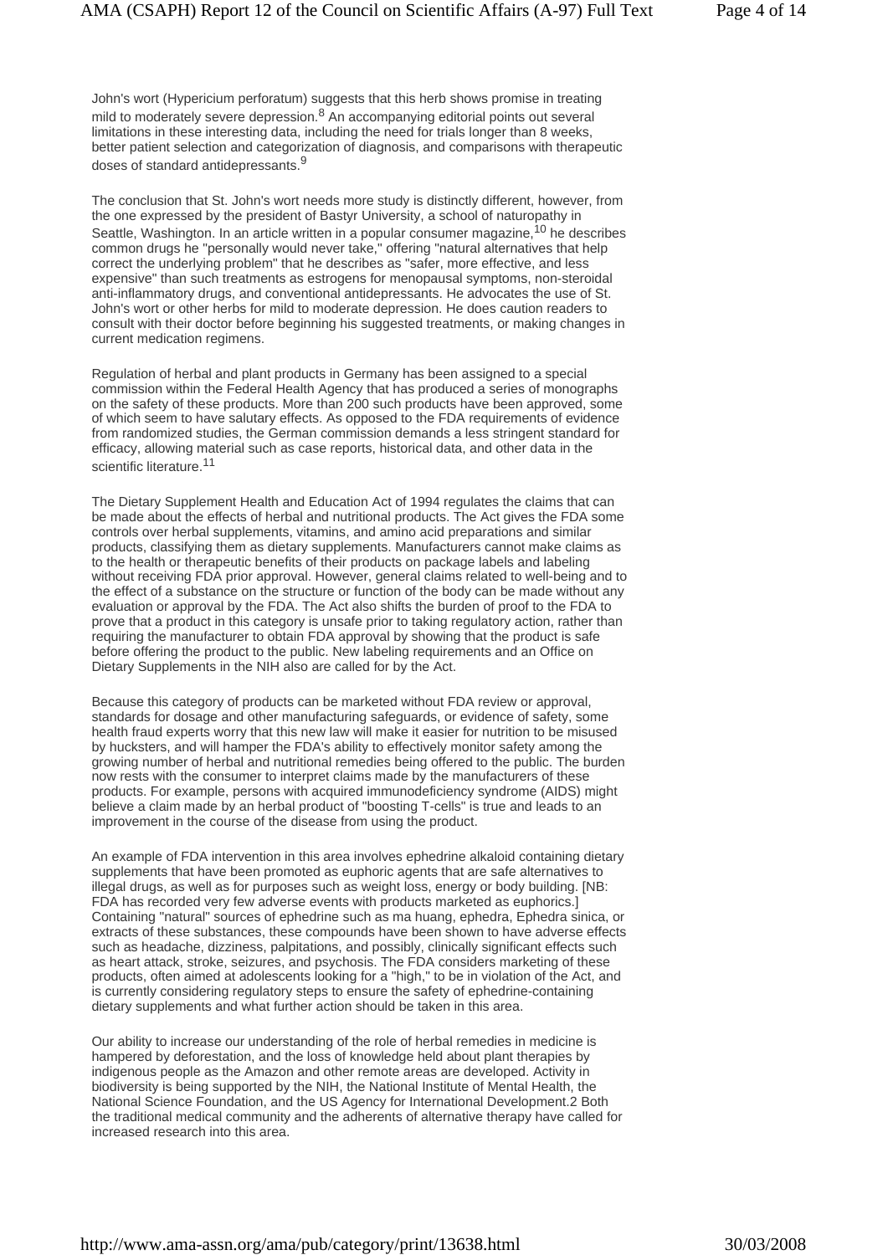John's wort (Hypericium perforatum) suggests that this herb shows promise in treating mild to moderately severe depression.<sup>8</sup> An accompanying editorial points out several limitations in these interesting data, including the need for trials longer than 8 weeks, better patient selection and categorization of diagnosis, and comparisons with therapeutic doses of standard antidepressants.<sup>9</sup>

The conclusion that St. John's wort needs more study is distinctly different, however, from the one expressed by the president of Bastyr University, a school of naturopathy in Seattle, Washington. In an article written in a popular consumer magazine,<sup>10</sup> he describes common drugs he "personally would never take," offering "natural alternatives that help correct the underlying problem" that he describes as "safer, more effective, and less expensive" than such treatments as estrogens for menopausal symptoms, non-steroidal anti-inflammatory drugs, and conventional antidepressants. He advocates the use of St. John's wort or other herbs for mild to moderate depression. He does caution readers to consult with their doctor before beginning his suggested treatments, or making changes in current medication regimens.

Regulation of herbal and plant products in Germany has been assigned to a special commission within the Federal Health Agency that has produced a series of monographs on the safety of these products. More than 200 such products have been approved, some of which seem to have salutary effects. As opposed to the FDA requirements of evidence from randomized studies, the German commission demands a less stringent standard for efficacy, allowing material such as case reports, historical data, and other data in the scientific literature.<sup>11</sup>

The Dietary Supplement Health and Education Act of 1994 regulates the claims that can be made about the effects of herbal and nutritional products. The Act gives the FDA some controls over herbal supplements, vitamins, and amino acid preparations and similar products, classifying them as dietary supplements. Manufacturers cannot make claims as to the health or therapeutic benefits of their products on package labels and labeling without receiving FDA prior approval. However, general claims related to well-being and to the effect of a substance on the structure or function of the body can be made without any evaluation or approval by the FDA. The Act also shifts the burden of proof to the FDA to prove that a product in this category is unsafe prior to taking regulatory action, rather than requiring the manufacturer to obtain FDA approval by showing that the product is safe before offering the product to the public. New labeling requirements and an Office on Dietary Supplements in the NIH also are called for by the Act.

Because this category of products can be marketed without FDA review or approval, standards for dosage and other manufacturing safeguards, or evidence of safety, some health fraud experts worry that this new law will make it easier for nutrition to be misused by hucksters, and will hamper the FDA's ability to effectively monitor safety among the growing number of herbal and nutritional remedies being offered to the public. The burden now rests with the consumer to interpret claims made by the manufacturers of these products. For example, persons with acquired immunodeficiency syndrome (AIDS) might believe a claim made by an herbal product of "boosting T-cells" is true and leads to an improvement in the course of the disease from using the product.

An example of FDA intervention in this area involves ephedrine alkaloid containing dietary supplements that have been promoted as euphoric agents that are safe alternatives to illegal drugs, as well as for purposes such as weight loss, energy or body building. [NB: FDA has recorded very few adverse events with products marketed as euphorics.] Containing "natural" sources of ephedrine such as ma huang, ephedra, Ephedra sinica, or extracts of these substances, these compounds have been shown to have adverse effects such as headache, dizziness, palpitations, and possibly, clinically significant effects such as heart attack, stroke, seizures, and psychosis. The FDA considers marketing of these products, often aimed at adolescents looking for a "high," to be in violation of the Act, and is currently considering regulatory steps to ensure the safety of ephedrine-containing dietary supplements and what further action should be taken in this area.

Our ability to increase our understanding of the role of herbal remedies in medicine is hampered by deforestation, and the loss of knowledge held about plant therapies by indigenous people as the Amazon and other remote areas are developed. Activity in biodiversity is being supported by the NIH, the National Institute of Mental Health, the National Science Foundation, and the US Agency for International Development.2 Both the traditional medical community and the adherents of alternative therapy have called for increased research into this area.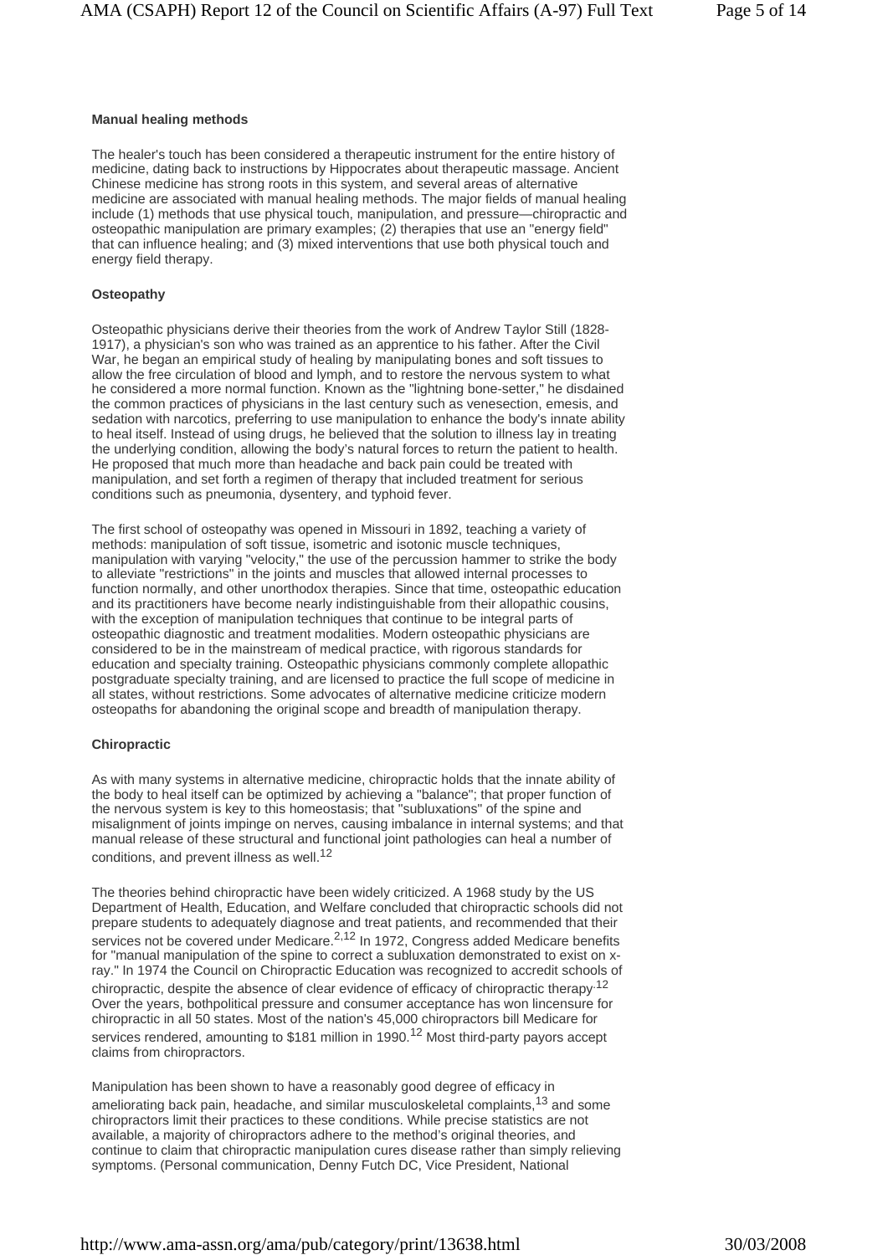#### **Manual healing methods**

The healer's touch has been considered a therapeutic instrument for the entire history of medicine, dating back to instructions by Hippocrates about therapeutic massage. Ancient Chinese medicine has strong roots in this system, and several areas of alternative medicine are associated with manual healing methods. The major fields of manual healing include (1) methods that use physical touch, manipulation, and pressure—chiropractic and osteopathic manipulation are primary examples; (2) therapies that use an "energy field" that can influence healing; and (3) mixed interventions that use both physical touch and energy field therapy.

#### **Osteopathy**

Osteopathic physicians derive their theories from the work of Andrew Taylor Still (1828- 1917), a physician's son who was trained as an apprentice to his father. After the Civil War, he began an empirical study of healing by manipulating bones and soft tissues to allow the free circulation of blood and lymph, and to restore the nervous system to what he considered a more normal function. Known as the "lightning bone-setter," he disdained the common practices of physicians in the last century such as venesection, emesis, and sedation with narcotics, preferring to use manipulation to enhance the body's innate ability to heal itself. Instead of using drugs, he believed that the solution to illness lay in treating the underlying condition, allowing the body's natural forces to return the patient to health. He proposed that much more than headache and back pain could be treated with manipulation, and set forth a regimen of therapy that included treatment for serious conditions such as pneumonia, dysentery, and typhoid fever.

The first school of osteopathy was opened in Missouri in 1892, teaching a variety of methods: manipulation of soft tissue, isometric and isotonic muscle techniques, manipulation with varying "velocity," the use of the percussion hammer to strike the body to alleviate "restrictions" in the joints and muscles that allowed internal processes to function normally, and other unorthodox therapies. Since that time, osteopathic education and its practitioners have become nearly indistinguishable from their allopathic cousins, with the exception of manipulation techniques that continue to be integral parts of osteopathic diagnostic and treatment modalities. Modern osteopathic physicians are considered to be in the mainstream of medical practice, with rigorous standards for education and specialty training. Osteopathic physicians commonly complete allopathic postgraduate specialty training, and are licensed to practice the full scope of medicine in all states, without restrictions. Some advocates of alternative medicine criticize modern osteopaths for abandoning the original scope and breadth of manipulation therapy.

#### **Chiropractic**

As with many systems in alternative medicine, chiropractic holds that the innate ability of the body to heal itself can be optimized by achieving a "balance"; that proper function of the nervous system is key to this homeostasis; that "subluxations" of the spine and misalignment of joints impinge on nerves, causing imbalance in internal systems; and that manual release of these structural and functional joint pathologies can heal a number of conditions, and prevent illness as well.<sup>12</sup>

The theories behind chiropractic have been widely criticized. A 1968 study by the US Department of Health, Education, and Welfare concluded that chiropractic schools did not prepare students to adequately diagnose and treat patients, and recommended that their  $\frac{1}{2}$  services not be covered under Medicare.<sup>2,12</sup> In 1972, Congress added Medicare benefits for "manual manipulation of the spine to correct a subluxation demonstrated to exist on xray." In 1974 the Council on Chiropractic Education was recognized to accredit schools of chiropractic, despite the absence of clear evidence of efficacy of chiropractic therapy<sup>-12</sup> Over the years, bothpolitical pressure and consumer acceptance has won lincensure for chiropractic in all 50 states. Most of the nation's 45,000 chiropractors bill Medicare for services rendered, amounting to \$181 million in 1990.<sup>12</sup> Most third-party payors accept claims from chiropractors.

Manipulation has been shown to have a reasonably good degree of efficacy in ameliorating back pain, headache, and similar musculoskeletal complaints, <sup>13</sup> and some chiropractors limit their practices to these conditions. While precise statistics are not available, a majority of chiropractors adhere to the method's original theories, and continue to claim that chiropractic manipulation cures disease rather than simply relieving symptoms. (Personal communication, Denny Futch DC, Vice President, National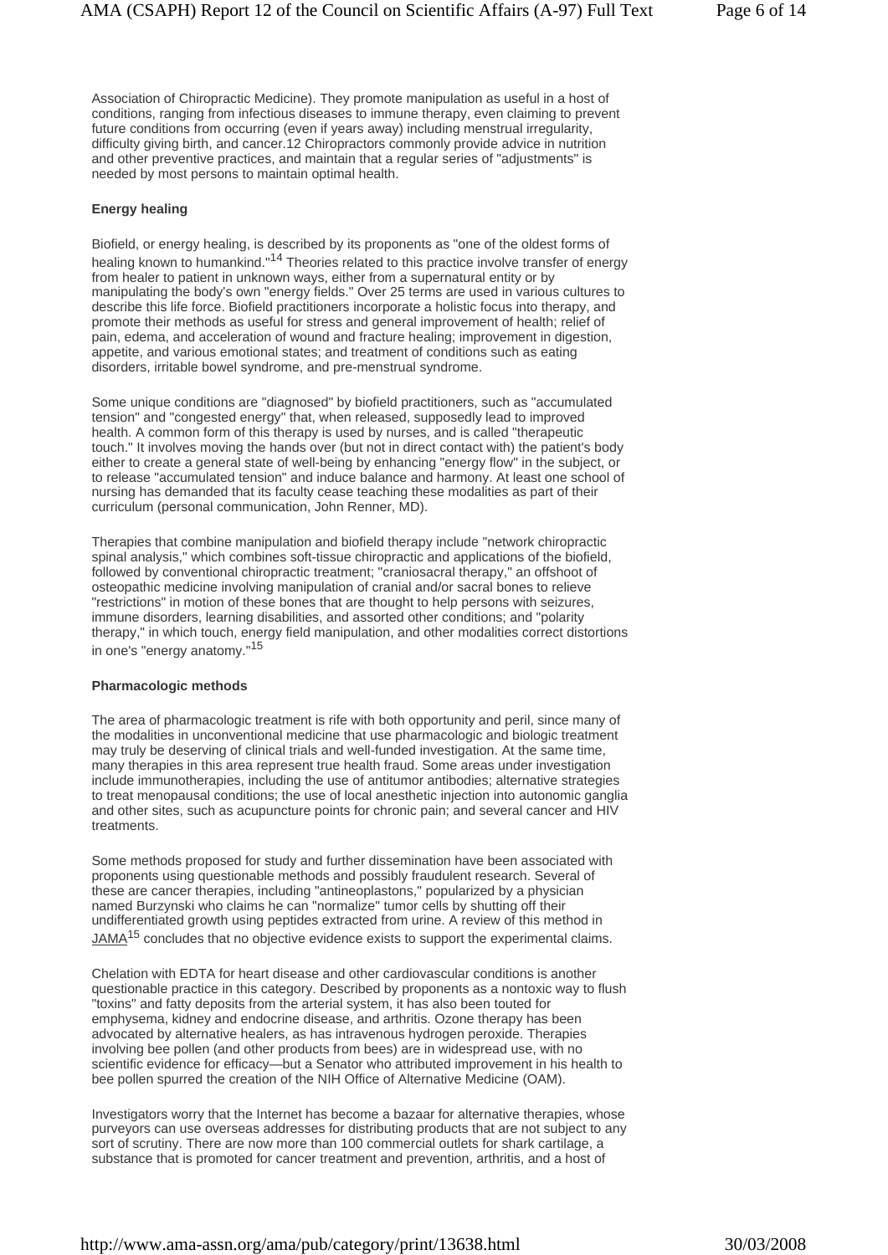Association of Chiropractic Medicine). They promote manipulation as useful in a host of conditions, ranging from infectious diseases to immune therapy, even claiming to prevent future conditions from occurring (even if years away) including menstrual irregularity, difficulty giving birth, and cancer.12 Chiropractors commonly provide advice in nutrition and other preventive practices, and maintain that a regular series of "adjustments" is needed by most persons to maintain optimal health.

# **Energy healing**

Biofield, or energy healing, is described by its proponents as "one of the oldest forms of healing known to humankind."<sup>14</sup> Theories related to this practice involve transfer of energy from healer to patient in unknown ways, either from a supernatural entity or by manipulating the body's own "energy fields." Over 25 terms are used in various cultures to describe this life force. Biofield practitioners incorporate a holistic focus into therapy, and promote their methods as useful for stress and general improvement of health; relief of pain, edema, and acceleration of wound and fracture healing; improvement in digestion, appetite, and various emotional states; and treatment of conditions such as eating disorders, irritable bowel syndrome, and pre-menstrual syndrome.

Some unique conditions are "diagnosed" by biofield practitioners, such as "accumulated tension" and "congested energy" that, when released, supposedly lead to improved health. A common form of this therapy is used by nurses, and is called "therapeutic touch." It involves moving the hands over (but not in direct contact with) the patient's body either to create a general state of well-being by enhancing "energy flow" in the subject, or to release "accumulated tension" and induce balance and harmony. At least one school of nursing has demanded that its faculty cease teaching these modalities as part of their curriculum (personal communication, John Renner, MD).

Therapies that combine manipulation and biofield therapy include "network chiropractic spinal analysis," which combines soft-tissue chiropractic and applications of the biofield, followed by conventional chiropractic treatment; "craniosacral therapy," an offshoot of osteopathic medicine involving manipulation of cranial and/or sacral bones to relieve "restrictions" in motion of these bones that are thought to help persons with seizures, immune disorders, learning disabilities, and assorted other conditions; and "polarity therapy," in which touch, energy field manipulation, and other modalities correct distortions in one's "energy anatomy."<sup>15</sup>

#### **Pharmacologic methods**

The area of pharmacologic treatment is rife with both opportunity and peril, since many of the modalities in unconventional medicine that use pharmacologic and biologic treatment may truly be deserving of clinical trials and well-funded investigation. At the same time, many therapies in this area represent true health fraud. Some areas under investigation include immunotherapies, including the use of antitumor antibodies; alternative strategies to treat menopausal conditions; the use of local anesthetic injection into autonomic ganglia and other sites, such as acupuncture points for chronic pain; and several cancer and HIV treatments.

Some methods proposed for study and further dissemination have been associated with proponents using questionable methods and possibly fraudulent research. Several of these are cancer therapies, including "antineoplastons," popularized by a physician named Burzynski who claims he can "normalize" tumor cells by shutting off their undifferentiated growth using peptides extracted from urine. A review of this method in JAMA $15$  concludes that no objective evidence exists to support the experimental claims.

Chelation with EDTA for heart disease and other cardiovascular conditions is another questionable practice in this category. Described by proponents as a nontoxic way to flush "toxins" and fatty deposits from the arterial system, it has also been touted for emphysema, kidney and endocrine disease, and arthritis. Ozone therapy has been advocated by alternative healers, as has intravenous hydrogen peroxide. Therapies involving bee pollen (and other products from bees) are in widespread use, with no scientific evidence for efficacy—but a Senator who attributed improvement in his health to bee pollen spurred the creation of the NIH Office of Alternative Medicine (OAM).

Investigators worry that the Internet has become a bazaar for alternative therapies, whose purveyors can use overseas addresses for distributing products that are not subject to any sort of scrutiny. There are now more than 100 commercial outlets for shark cartilage, a substance that is promoted for cancer treatment and prevention, arthritis, and a host of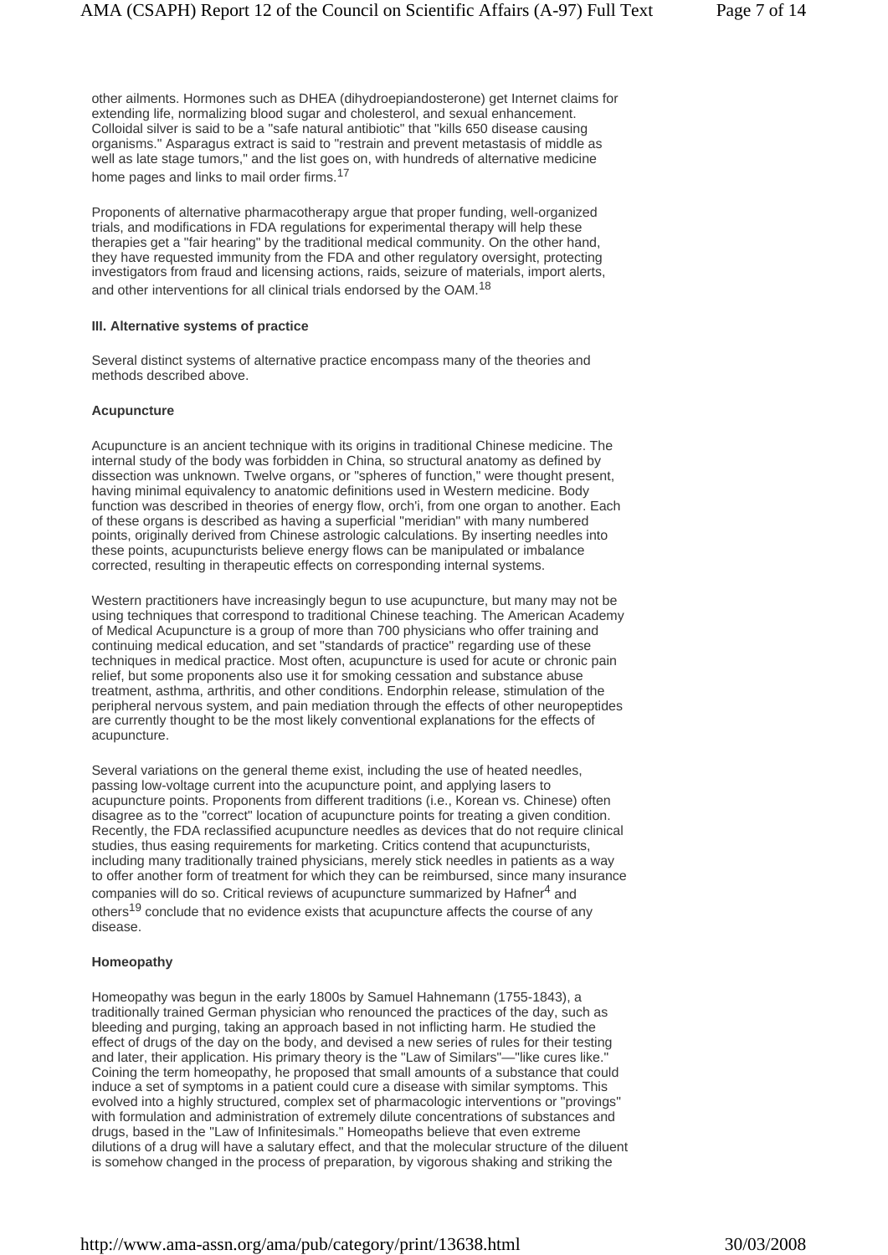other ailments. Hormones such as DHEA (dihydroepiandosterone) get Internet claims for extending life, normalizing blood sugar and cholesterol, and sexual enhancement. Colloidal silver is said to be a "safe natural antibiotic" that "kills 650 disease causing organisms." Asparagus extract is said to "restrain and prevent metastasis of middle as well as late stage tumors," and the list goes on, with hundreds of alternative medicine home pages and links to mail order firms.<sup>17</sup>

Proponents of alternative pharmacotherapy argue that proper funding, well-organized trials, and modifications in FDA regulations for experimental therapy will help these therapies get a "fair hearing" by the traditional medical community. On the other hand, they have requested immunity from the FDA and other regulatory oversight, protecting investigators from fraud and licensing actions, raids, seizure of materials, import alerts, and other interventions for all clinical trials endorsed by the OAM.<sup>18</sup>

#### **III. Alternative systems of practice**

Several distinct systems of alternative practice encompass many of the theories and methods described above.

# **Acupuncture**

Acupuncture is an ancient technique with its origins in traditional Chinese medicine. The internal study of the body was forbidden in China, so structural anatomy as defined by dissection was unknown. Twelve organs, or "spheres of function," were thought present, having minimal equivalency to anatomic definitions used in Western medicine. Body function was described in theories of energy flow, orch'i, from one organ to another. Each of these organs is described as having a superficial "meridian" with many numbered points, originally derived from Chinese astrologic calculations. By inserting needles into these points, acupuncturists believe energy flows can be manipulated or imbalance corrected, resulting in therapeutic effects on corresponding internal systems.

Western practitioners have increasingly begun to use acupuncture, but many may not be using techniques that correspond to traditional Chinese teaching. The American Academy of Medical Acupuncture is a group of more than 700 physicians who offer training and continuing medical education, and set "standards of practice" regarding use of these techniques in medical practice. Most often, acupuncture is used for acute or chronic pain relief, but some proponents also use it for smoking cessation and substance abuse treatment, asthma, arthritis, and other conditions. Endorphin release, stimulation of the peripheral nervous system, and pain mediation through the effects of other neuropeptides are currently thought to be the most likely conventional explanations for the effects of acupuncture.

Several variations on the general theme exist, including the use of heated needles, passing low-voltage current into the acupuncture point, and applying lasers to acupuncture points. Proponents from different traditions (i.e., Korean vs. Chinese) often disagree as to the "correct" location of acupuncture points for treating a given condition. Recently, the FDA reclassified acupuncture needles as devices that do not require clinical studies, thus easing requirements for marketing. Critics contend that acupuncturists, including many traditionally trained physicians, merely stick needles in patients as a way to offer another form of treatment for which they can be reimbursed, since many insurance companies will do so. Critical reviews of acupuncture summarized by Hafner<sup>4</sup> and others<sup>19</sup> conclude that no evidence exists that acupuncture affects the course of any disease.

# **Homeopathy**

Homeopathy was begun in the early 1800s by Samuel Hahnemann (1755-1843), a traditionally trained German physician who renounced the practices of the day, such as bleeding and purging, taking an approach based in not inflicting harm. He studied the effect of drugs of the day on the body, and devised a new series of rules for their testing and later, their application. His primary theory is the "Law of Similars"—"like cures like. Coining the term homeopathy, he proposed that small amounts of a substance that could induce a set of symptoms in a patient could cure a disease with similar symptoms. This evolved into a highly structured, complex set of pharmacologic interventions or "provings" with formulation and administration of extremely dilute concentrations of substances and drugs, based in the "Law of Infinitesimals." Homeopaths believe that even extreme dilutions of a drug will have a salutary effect, and that the molecular structure of the diluent is somehow changed in the process of preparation, by vigorous shaking and striking the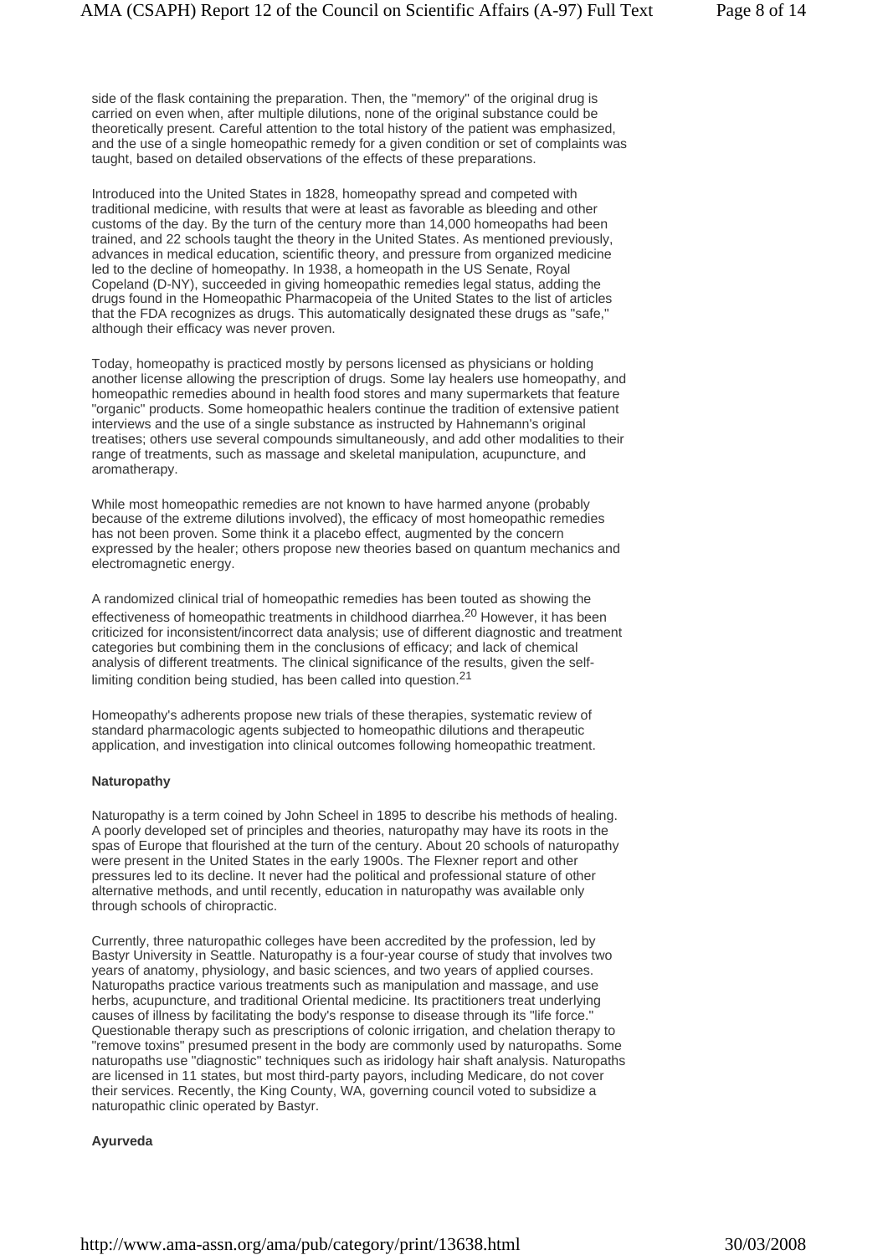side of the flask containing the preparation. Then, the "memory" of the original drug is carried on even when, after multiple dilutions, none of the original substance could be theoretically present. Careful attention to the total history of the patient was emphasized, and the use of a single homeopathic remedy for a given condition or set of complaints was taught, based on detailed observations of the effects of these preparations.

Introduced into the United States in 1828, homeopathy spread and competed with traditional medicine, with results that were at least as favorable as bleeding and other customs of the day. By the turn of the century more than 14,000 homeopaths had been trained, and 22 schools taught the theory in the United States. As mentioned previously, advances in medical education, scientific theory, and pressure from organized medicine led to the decline of homeopathy. In 1938, a homeopath in the US Senate, Royal Copeland (D-NY), succeeded in giving homeopathic remedies legal status, adding the drugs found in the Homeopathic Pharmacopeia of the United States to the list of articles that the FDA recognizes as drugs. This automatically designated these drugs as "safe," although their efficacy was never proven.

Today, homeopathy is practiced mostly by persons licensed as physicians or holding another license allowing the prescription of drugs. Some lay healers use homeopathy, and homeopathic remedies abound in health food stores and many supermarkets that feature "organic" products. Some homeopathic healers continue the tradition of extensive patient interviews and the use of a single substance as instructed by Hahnemann's original treatises; others use several compounds simultaneously, and add other modalities to their range of treatments, such as massage and skeletal manipulation, acupuncture, and aromatherapy.

While most homeopathic remedies are not known to have harmed anyone (probably because of the extreme dilutions involved), the efficacy of most homeopathic remedies has not been proven. Some think it a placebo effect, augmented by the concern expressed by the healer; others propose new theories based on quantum mechanics and electromagnetic energy.

A randomized clinical trial of homeopathic remedies has been touted as showing the effectiveness of homeopathic treatments in childhood diarrhea.<sup>20</sup> However, it has been criticized for inconsistent/incorrect data analysis; use of different diagnostic and treatment categories but combining them in the conclusions of efficacy; and lack of chemical analysis of different treatments. The clinical significance of the results, given the selflimiting condition being studied, has been called into question.<sup>21</sup>

Homeopathy's adherents propose new trials of these therapies, systematic review of standard pharmacologic agents subjected to homeopathic dilutions and therapeutic application, and investigation into clinical outcomes following homeopathic treatment.

# **Naturopathy**

Naturopathy is a term coined by John Scheel in 1895 to describe his methods of healing. A poorly developed set of principles and theories, naturopathy may have its roots in the spas of Europe that flourished at the turn of the century. About 20 schools of naturopathy were present in the United States in the early 1900s. The Flexner report and other pressures led to its decline. It never had the political and professional stature of other alternative methods, and until recently, education in naturopathy was available only through schools of chiropractic.

Currently, three naturopathic colleges have been accredited by the profession, led by Bastyr University in Seattle. Naturopathy is a four-year course of study that involves two years of anatomy, physiology, and basic sciences, and two years of applied courses. Naturopaths practice various treatments such as manipulation and massage, and use herbs, acupuncture, and traditional Oriental medicine. Its practitioners treat underlying causes of illness by facilitating the body's response to disease through its "life force." Questionable therapy such as prescriptions of colonic irrigation, and chelation therapy to "remove toxins" presumed present in the body are commonly used by naturopaths. Some naturopaths use "diagnostic" techniques such as iridology hair shaft analysis. Naturopaths are licensed in 11 states, but most third-party payors, including Medicare, do not cover their services. Recently, the King County, WA, governing council voted to subsidize a naturopathic clinic operated by Bastyr.

# **Ayurveda**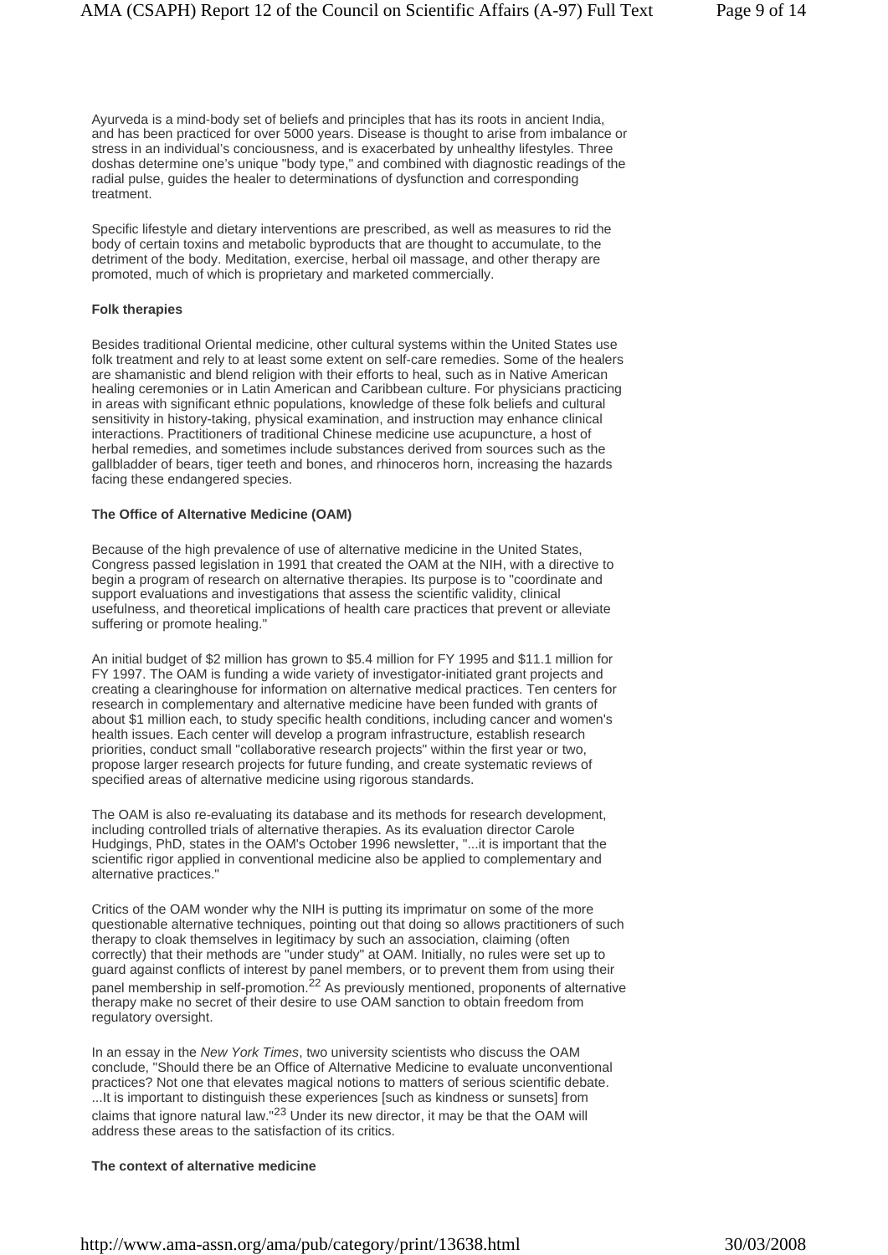Ayurveda is a mind-body set of beliefs and principles that has its roots in ancient India, and has been practiced for over 5000 years. Disease is thought to arise from imbalance or stress in an individual's conciousness, and is exacerbated by unhealthy lifestyles. Three doshas determine one's unique "body type," and combined with diagnostic readings of the radial pulse, guides the healer to determinations of dysfunction and corresponding treatment.

Specific lifestyle and dietary interventions are prescribed, as well as measures to rid the body of certain toxins and metabolic byproducts that are thought to accumulate, to the detriment of the body. Meditation, exercise, herbal oil massage, and other therapy are promoted, much of which is proprietary and marketed commercially.

#### **Folk therapies**

Besides traditional Oriental medicine, other cultural systems within the United States use folk treatment and rely to at least some extent on self-care remedies. Some of the healers are shamanistic and blend religion with their efforts to heal, such as in Native American healing ceremonies or in Latin American and Caribbean culture. For physicians practicing in areas with significant ethnic populations, knowledge of these folk beliefs and cultural sensitivity in history-taking, physical examination, and instruction may enhance clinical interactions. Practitioners of traditional Chinese medicine use acupuncture, a host of herbal remedies, and sometimes include substances derived from sources such as the gallbladder of bears, tiger teeth and bones, and rhinoceros horn, increasing the hazards facing these endangered species.

#### **The Office of Alternative Medicine (OAM)**

Because of the high prevalence of use of alternative medicine in the United States, Congress passed legislation in 1991 that created the OAM at the NIH, with a directive to begin a program of research on alternative therapies. Its purpose is to "coordinate and support evaluations and investigations that assess the scientific validity, clinical usefulness, and theoretical implications of health care practices that prevent or alleviate suffering or promote healing."

An initial budget of \$2 million has grown to \$5.4 million for FY 1995 and \$11.1 million for FY 1997. The OAM is funding a wide variety of investigator-initiated grant projects and creating a clearinghouse for information on alternative medical practices. Ten centers for research in complementary and alternative medicine have been funded with grants of about \$1 million each, to study specific health conditions, including cancer and women's health issues. Each center will develop a program infrastructure, establish research priorities, conduct small "collaborative research projects" within the first year or two, propose larger research projects for future funding, and create systematic reviews of specified areas of alternative medicine using rigorous standards.

The OAM is also re-evaluating its database and its methods for research development, including controlled trials of alternative therapies. As its evaluation director Carole Hudgings, PhD, states in the OAM's October 1996 newsletter, "...it is important that the scientific rigor applied in conventional medicine also be applied to complementary and alternative practices."

Critics of the OAM wonder why the NIH is putting its imprimatur on some of the more questionable alternative techniques, pointing out that doing so allows practitioners of such therapy to cloak themselves in legitimacy by such an association, claiming (often correctly) that their methods are "under study" at OAM. Initially, no rules were set up to guard against conflicts of interest by panel members, or to prevent them from using their panel membership in self-promotion.<sup>22</sup> As previously mentioned, proponents of alternative therapy make no secret of their desire to use OAM sanction to obtain freedom from regulatory oversight.

In an essay in the *New York Times*, two university scientists who discuss the OAM conclude, "Should there be an Office of Alternative Medicine to evaluate unconventional practices? Not one that elevates magical notions to matters of serious scientific debate. ...It is important to distinguish these experiences [such as kindness or sunsets] from claims that ignore natural law."23 Under its new director, it may be that the OAM will address these areas to the satisfaction of its critics.

# **The context of alternative medicine**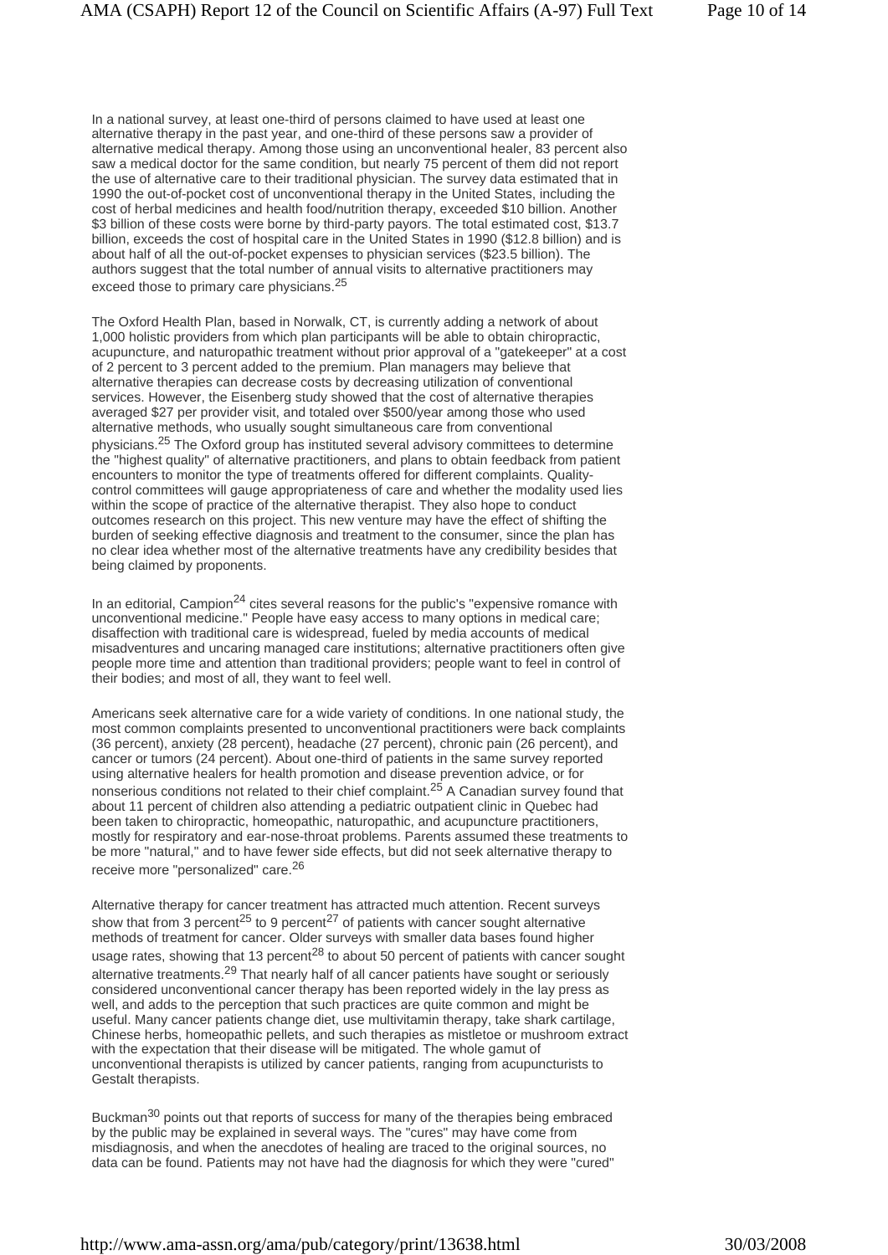In a national survey, at least one-third of persons claimed to have used at least one alternative therapy in the past year, and one-third of these persons saw a provider of alternative medical therapy. Among those using an unconventional healer, 83 percent also saw a medical doctor for the same condition, but nearly 75 percent of them did not report the use of alternative care to their traditional physician. The survey data estimated that in 1990 the out-of-pocket cost of unconventional therapy in the United States, including the cost of herbal medicines and health food/nutrition therapy, exceeded \$10 billion. Another \$3 billion of these costs were borne by third-party payors. The total estimated cost, \$13.7 billion, exceeds the cost of hospital care in the United States in 1990 (\$12.8 billion) and is about half of all the out-of-pocket expenses to physician services (\$23.5 billion). The authors suggest that the total number of annual visits to alternative practitioners may exceed those to primary care physicians.<sup>25</sup>

The Oxford Health Plan, based in Norwalk, CT, is currently adding a network of about 1,000 holistic providers from which plan participants will be able to obtain chiropractic, acupuncture, and naturopathic treatment without prior approval of a "gatekeeper" at a cost of 2 percent to 3 percent added to the premium. Plan managers may believe that alternative therapies can decrease costs by decreasing utilization of conventional services. However, the Eisenberg study showed that the cost of alternative therapies averaged \$27 per provider visit, and totaled over \$500/year among those who used alternative methods, who usually sought simultaneous care from conventional physicians.<sup>25</sup> The Oxford group has instituted several advisory committees to determine the "highest quality" of alternative practitioners, and plans to obtain feedback from patient encounters to monitor the type of treatments offered for different complaints. Qualitycontrol committees will gauge appropriateness of care and whether the modality used lies within the scope of practice of the alternative therapist. They also hope to conduct outcomes research on this project. This new venture may have the effect of shifting the burden of seeking effective diagnosis and treatment to the consumer, since the plan has no clear idea whether most of the alternative treatments have any credibility besides that being claimed by proponents.

In an editorial, Campion<sup>24</sup> cites several reasons for the public's "expensive romance with unconventional medicine." People have easy access to many options in medical care; disaffection with traditional care is widespread, fueled by media accounts of medical misadventures and uncaring managed care institutions; alternative practitioners often give people more time and attention than traditional providers; people want to feel in control of their bodies; and most of all, they want to feel well.

Americans seek alternative care for a wide variety of conditions. In one national study, the most common complaints presented to unconventional practitioners were back complaints (36 percent), anxiety (28 percent), headache (27 percent), chronic pain (26 percent), and cancer or tumors (24 percent). About one-third of patients in the same survey reported using alternative healers for health promotion and disease prevention advice, or for nonserious conditions not related to their chief complaint.<sup>25</sup> A Canadian survey found that about 11 percent of children also attending a pediatric outpatient clinic in Quebec had been taken to chiropractic, homeopathic, naturopathic, and acupuncture practitioners, mostly for respiratory and ear-nose-throat problems. Parents assumed these treatments to be more "natural," and to have fewer side effects, but did not seek alternative therapy to receive more "personalized" care.<sup>26</sup>

Alternative therapy for cancer treatment has attracted much attention. Recent surveys show that from 3 percent<sup>25</sup> to 9 percent<sup>27</sup> of patients with cancer sought alternative methods of treatment for cancer. Older surveys with smaller data bases found higher usage rates, showing that 13 percent<sup>28</sup> to about 50 percent of patients with cancer sought alternative treatments.29 That nearly half of all cancer patients have sought or seriously considered unconventional cancer therapy has been reported widely in the lay press as well, and adds to the perception that such practices are quite common and might be useful. Many cancer patients change diet, use multivitamin therapy, take shark cartilage, Chinese herbs, homeopathic pellets, and such therapies as mistletoe or mushroom extract with the expectation that their disease will be mitigated. The whole gamut of unconventional therapists is utilized by cancer patients, ranging from acupuncturists to Gestalt therapists.

Buckman<sup>30</sup> points out that reports of success for many of the therapies being embraced by the public may be explained in several ways. The "cures" may have come from misdiagnosis, and when the anecdotes of healing are traced to the original sources, no data can be found. Patients may not have had the diagnosis for which they were "cured"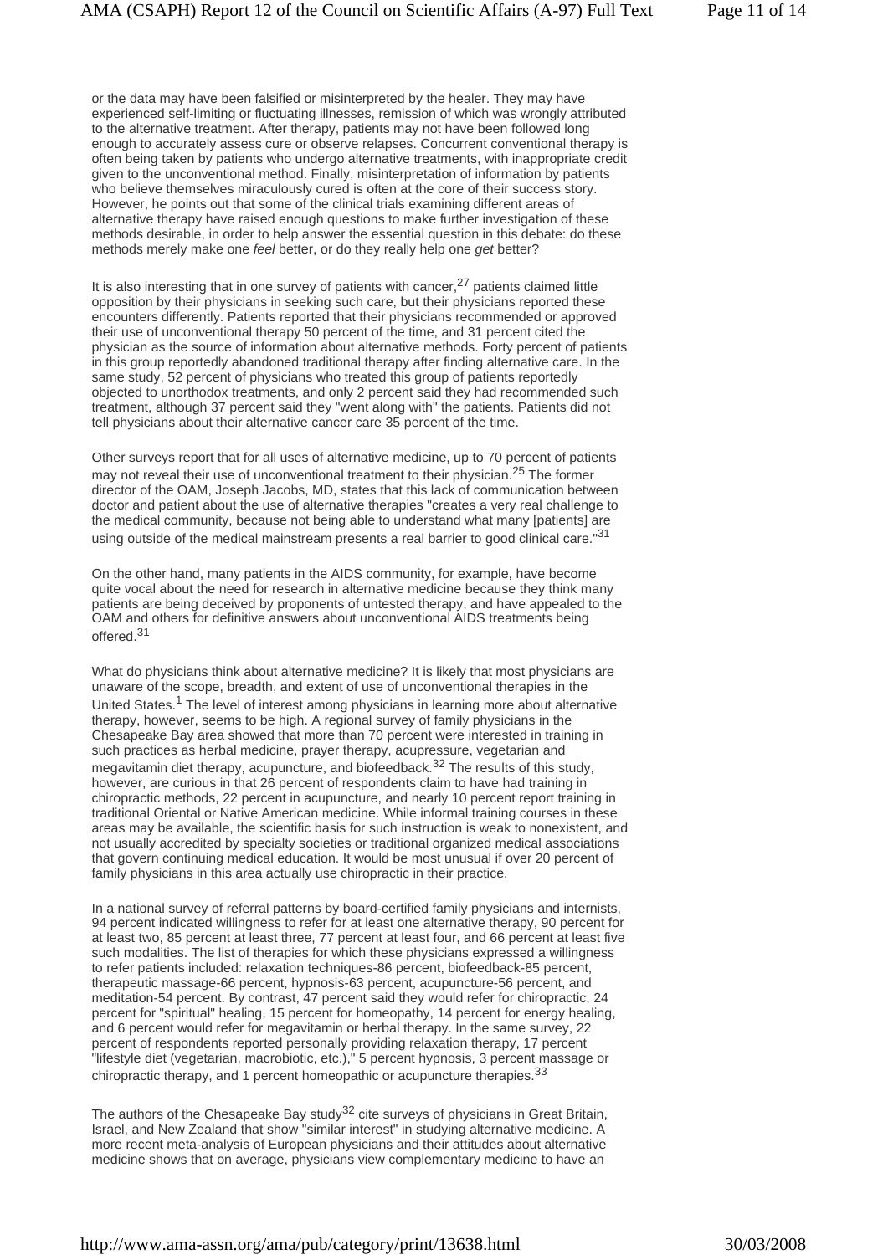or the data may have been falsified or misinterpreted by the healer. They may have experienced self-limiting or fluctuating illnesses, remission of which was wrongly attributed to the alternative treatment. After therapy, patients may not have been followed long enough to accurately assess cure or observe relapses. Concurrent conventional therapy is often being taken by patients who undergo alternative treatments, with inappropriate credit given to the unconventional method. Finally, misinterpretation of information by patients who believe themselves miraculously cured is often at the core of their success story. However, he points out that some of the clinical trials examining different areas of alternative therapy have raised enough questions to make further investigation of these methods desirable, in order to help answer the essential question in this debate: do these methods merely make one *feel* better, or do they really help one *get* better?

It is also interesting that in one survey of patients with cancer, $27$  patients claimed little opposition by their physicians in seeking such care, but their physicians reported these encounters differently. Patients reported that their physicians recommended or approved their use of unconventional therapy 50 percent of the time, and 31 percent cited the physician as the source of information about alternative methods. Forty percent of patients in this group reportedly abandoned traditional therapy after finding alternative care. In the same study, 52 percent of physicians who treated this group of patients reportedly objected to unorthodox treatments, and only 2 percent said they had recommended such treatment, although 37 percent said they "went along with" the patients. Patients did not tell physicians about their alternative cancer care 35 percent of the time.

Other surveys report that for all uses of alternative medicine, up to 70 percent of patients may not reveal their use of unconventional treatment to their physician.<sup>25</sup> The former director of the OAM, Joseph Jacobs, MD, states that this lack of communication between doctor and patient about the use of alternative therapies "creates a very real challenge to the medical community, because not being able to understand what many [patients] are using outside of the medical mainstream presents a real barrier to good clinical care."31

On the other hand, many patients in the AIDS community, for example, have become quite vocal about the need for research in alternative medicine because they think many patients are being deceived by proponents of untested therapy, and have appealed to the OAM and others for definitive answers about unconventional AIDS treatments being offered.<sup>31</sup>

What do physicians think about alternative medicine? It is likely that most physicians are unaware of the scope, breadth, and extent of use of unconventional therapies in the United States.<sup>1</sup> The level of interest among physicians in learning more about alternative therapy, however, seems to be high. A regional survey of family physicians in the Chesapeake Bay area showed that more than 70 percent were interested in training in such practices as herbal medicine, prayer therapy, acupressure, vegetarian and megavitamin diet therapy, acupuncture, and biofeedback.32 The results of this study, however, are curious in that 26 percent of respondents claim to have had training in chiropractic methods, 22 percent in acupuncture, and nearly 10 percent report training in traditional Oriental or Native American medicine. While informal training courses in these areas may be available, the scientific basis for such instruction is weak to nonexistent, and not usually accredited by specialty societies or traditional organized medical associations that govern continuing medical education. It would be most unusual if over 20 percent of family physicians in this area actually use chiropractic in their practice.

In a national survey of referral patterns by board-certified family physicians and internists, 94 percent indicated willingness to refer for at least one alternative therapy, 90 percent for at least two, 85 percent at least three, 77 percent at least four, and 66 percent at least five such modalities. The list of therapies for which these physicians expressed a willingness to refer patients included: relaxation techniques-86 percent, biofeedback-85 percent, therapeutic massage-66 percent, hypnosis-63 percent, acupuncture-56 percent, and meditation-54 percent. By contrast, 47 percent said they would refer for chiropractic, 24 percent for "spiritual" healing, 15 percent for homeopathy, 14 percent for energy healing, and 6 percent would refer for megavitamin or herbal therapy. In the same survey, 22 percent of respondents reported personally providing relaxation therapy, 17 percent "lifestyle diet (vegetarian, macrobiotic, etc.)," 5 percent hypnosis, 3 percent massage or chiropractic therapy, and 1 percent homeopathic or acupuncture therapies.<sup>33</sup>

The authors of the Chesapeake Bay study<sup>32</sup> cite surveys of physicians in Great Britain, Israel, and New Zealand that show "similar interest" in studying alternative medicine. A more recent meta-analysis of European physicians and their attitudes about alternative medicine shows that on average, physicians view complementary medicine to have an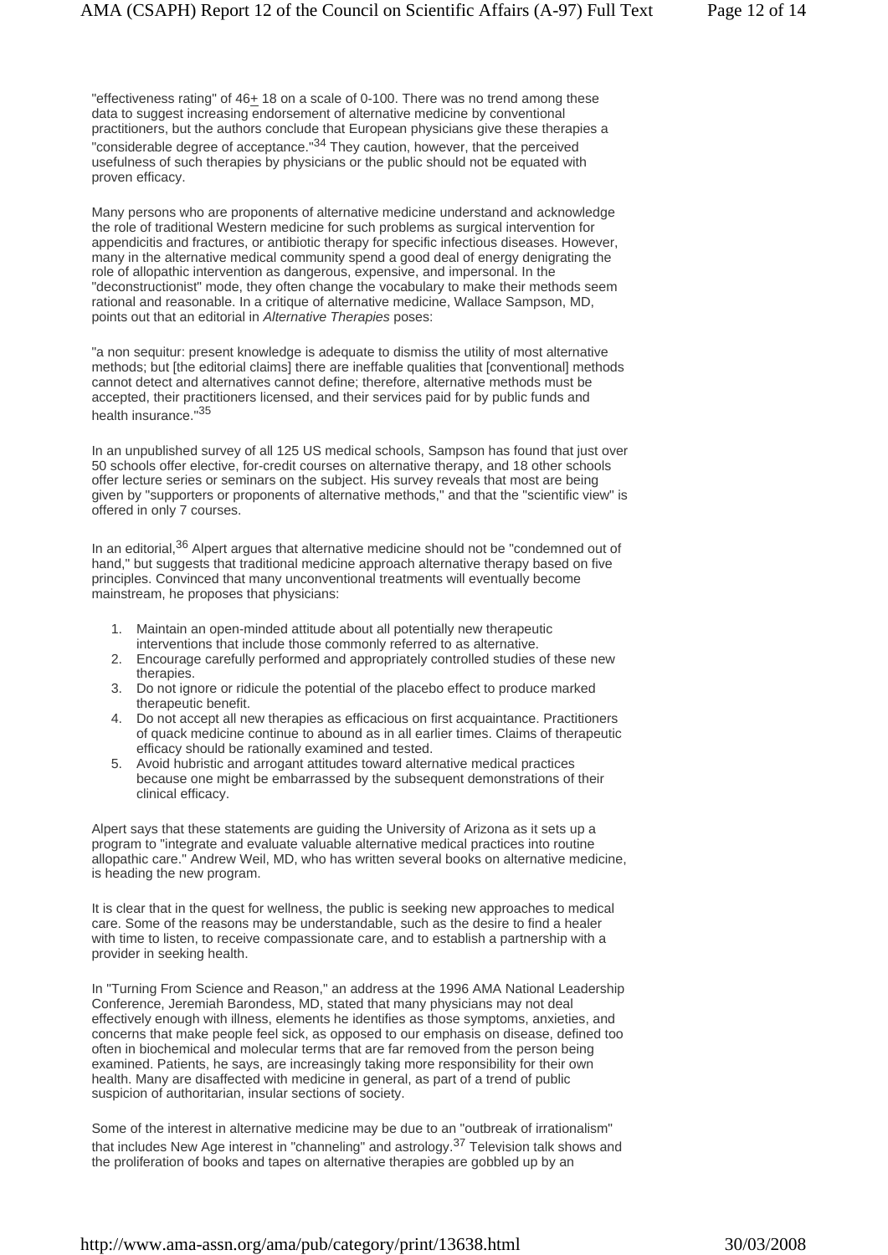"effectiveness rating" of  $46<sub>±</sub> 18$  on a scale of 0-100. There was no trend among these data to suggest increasing endorsement of alternative medicine by conventional practitioners, but the authors conclude that European physicians give these therapies a .<br>"considerable degree of acceptance."<sup>34</sup> They caution, however, that the perceived usefulness of such therapies by physicians or the public should not be equated with proven efficacy.

Many persons who are proponents of alternative medicine understand and acknowledge the role of traditional Western medicine for such problems as surgical intervention for appendicitis and fractures, or antibiotic therapy for specific infectious diseases. However, many in the alternative medical community spend a good deal of energy denigrating the role of allopathic intervention as dangerous, expensive, and impersonal. In the "deconstructionist" mode, they often change the vocabulary to make their methods seem rational and reasonable. In a critique of alternative medicine, Wallace Sampson, MD, points out that an editorial in *Alternative Therapies* poses:

"a non sequitur: present knowledge is adequate to dismiss the utility of most alternative methods; but [the editorial claims] there are ineffable qualities that [conventional] methods cannot detect and alternatives cannot define; therefore, alternative methods must be accepted, their practitioners licensed, and their services paid for by public funds and health insurance."<sup>35</sup>

In an unpublished survey of all 125 US medical schools, Sampson has found that just over 50 schools offer elective, for-credit courses on alternative therapy, and 18 other schools offer lecture series or seminars on the subject. His survey reveals that most are being given by "supporters or proponents of alternative methods," and that the "scientific view" is offered in only 7 courses.

In an editorial,<sup>36</sup> Alpert argues that alternative medicine should not be "condemned out of hand," but suggests that traditional medicine approach alternative therapy based on five principles. Convinced that many unconventional treatments will eventually become mainstream, he proposes that physicians:

- 1. Maintain an open-minded attitude about all potentially new therapeutic interventions that include those commonly referred to as alternative.
- 2. Encourage carefully performed and appropriately controlled studies of these new therapies.
- 3. Do not ignore or ridicule the potential of the placebo effect to produce marked therapeutic benefit.
- 4. Do not accept all new therapies as efficacious on first acquaintance. Practitioners of quack medicine continue to abound as in all earlier times. Claims of therapeutic efficacy should be rationally examined and tested.
- 5. Avoid hubristic and arrogant attitudes toward alternative medical practices because one might be embarrassed by the subsequent demonstrations of their clinical efficacy.

Alpert says that these statements are guiding the University of Arizona as it sets up a program to "integrate and evaluate valuable alternative medical practices into routine allopathic care." Andrew Weil, MD, who has written several books on alternative medicine, is heading the new program.

It is clear that in the quest for wellness, the public is seeking new approaches to medical care. Some of the reasons may be understandable, such as the desire to find a healer with time to listen, to receive compassionate care, and to establish a partnership with a provider in seeking health.

In "Turning From Science and Reason," an address at the 1996 AMA National Leadership Conference, Jeremiah Barondess, MD, stated that many physicians may not deal effectively enough with illness, elements he identifies as those symptoms, anxieties, and concerns that make people feel sick, as opposed to our emphasis on disease, defined too often in biochemical and molecular terms that are far removed from the person being examined. Patients, he says, are increasingly taking more responsibility for their own health. Many are disaffected with medicine in general, as part of a trend of public suspicion of authoritarian, insular sections of society.

Some of the interest in alternative medicine may be due to an "outbreak of irrationalism" that includes New Age interest in "channeling" and astrology. $37$  Television talk shows and the proliferation of books and tapes on alternative therapies are gobbled up by an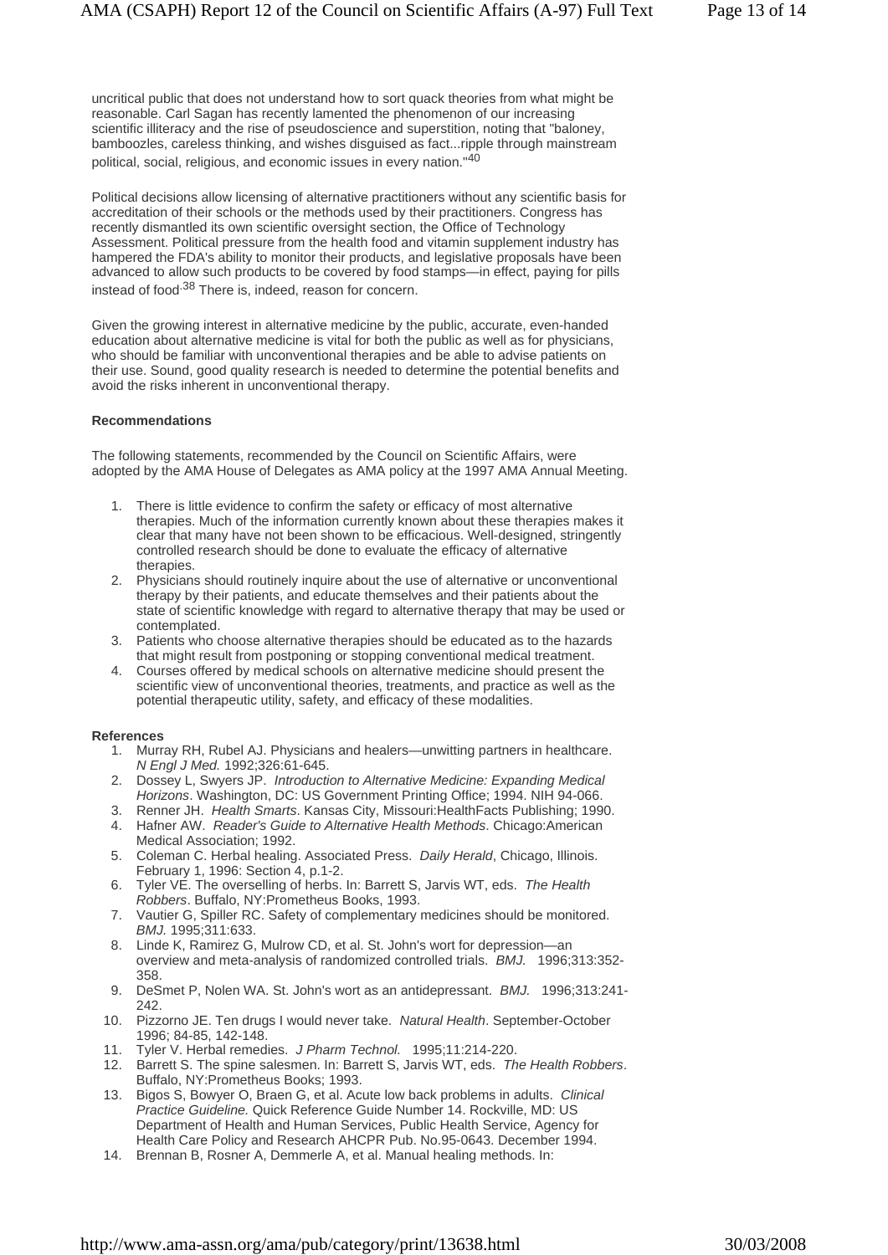uncritical public that does not understand how to sort quack theories from what might be reasonable. Carl Sagan has recently lamented the phenomenon of our increasing scientific illiteracy and the rise of pseudoscience and superstition, noting that "baloney, bamboozles, careless thinking, and wishes disguised as fact...ripple through mainstream political, social, religious, and economic issues in every nation."40

Political decisions allow licensing of alternative practitioners without any scientific basis for accreditation of their schools or the methods used by their practitioners. Congress has recently dismantled its own scientific oversight section, the Office of Technology Assessment. Political pressure from the health food and vitamin supplement industry has hampered the FDA's ability to monitor their products, and legislative proposals have been advanced to allow such products to be covered by food stamps—in effect, paying for pills instead of food<sup>.38</sup> There is, indeed, reason for concern.

Given the growing interest in alternative medicine by the public, accurate, even-handed education about alternative medicine is vital for both the public as well as for physicians, who should be familiar with unconventional therapies and be able to advise patients on their use. Sound, good quality research is needed to determine the potential benefits and avoid the risks inherent in unconventional therapy.

#### **Recommendations**

The following statements, recommended by the Council on Scientific Affairs, were adopted by the AMA House of Delegates as AMA policy at the 1997 AMA Annual Meeting.

- 1. There is little evidence to confirm the safety or efficacy of most alternative therapies. Much of the information currently known about these therapies makes it clear that many have not been shown to be efficacious. Well-designed, stringently controlled research should be done to evaluate the efficacy of alternative therapies.
- 2. Physicians should routinely inquire about the use of alternative or unconventional therapy by their patients, and educate themselves and their patients about the state of scientific knowledge with regard to alternative therapy that may be used or contemplated.
- 3. Patients who choose alternative therapies should be educated as to the hazards that might result from postponing or stopping conventional medical treatment.
- 4. Courses offered by medical schools on alternative medicine should present the scientific view of unconventional theories, treatments, and practice as well as the potential therapeutic utility, safety, and efficacy of these modalities.

#### **References**

- 1. Murray RH, Rubel AJ. Physicians and healers—unwitting partners in healthcare. *N Engl J Med.* 1992;326:61-645.
- 2. Dossey L, Swyers JP. *Introduction to Alternative Medicine: Expanding Medical Horizons*. Washington, DC: US Government Printing Office; 1994. NIH 94-066.
- 3. Renner JH. *Health Smarts*. Kansas City, Missouri:HealthFacts Publishing; 1990.
- 4. Hafner AW. *Reader's Guide to Alternative Health Methods*. Chicago:American Medical Association; 1992.
- 5. Coleman C. Herbal healing. Associated Press. *Daily Herald*, Chicago, Illinois. February 1, 1996: Section 4, p.1-2.
- 6. Tyler VE. The overselling of herbs. In: Barrett S, Jarvis WT, eds. *The Health Robbers*. Buffalo, NY:Prometheus Books, 1993.
- 7. Vautier G, Spiller RC. Safety of complementary medicines should be monitored. *BMJ.* 1995;311:633.
- 8. Linde K, Ramirez G, Mulrow CD, et al. St. John's wort for depression—an overview and meta-analysis of randomized controlled trials. *BMJ.* 1996;313:352- 358.
- 9. DeSmet P, Nolen WA. St. John's wort as an antidepressant. *BMJ.* 1996;313:241- 242.
- 10. Pizzorno JE. Ten drugs I would never take. *Natural Health*. September-October 1996; 84-85, 142-148.
- 11. Tyler V. Herbal remedies. *J Pharm Technol.* 1995;11:214-220.
- 12. Barrett S. The spine salesmen. In: Barrett S, Jarvis WT, eds. *The Health Robbers*. Buffalo, NY:Prometheus Books; 1993.
- 13. Bigos S, Bowyer O, Braen G, et al. Acute low back problems in adults. *Clinical Practice Guideline.* Quick Reference Guide Number 14. Rockville, MD: US Department of Health and Human Services, Public Health Service, Agency for Health Care Policy and Research AHCPR Pub. No.95-0643. December 1994.
- 14. Brennan B, Rosner A, Demmerle A, et al. Manual healing methods. In: